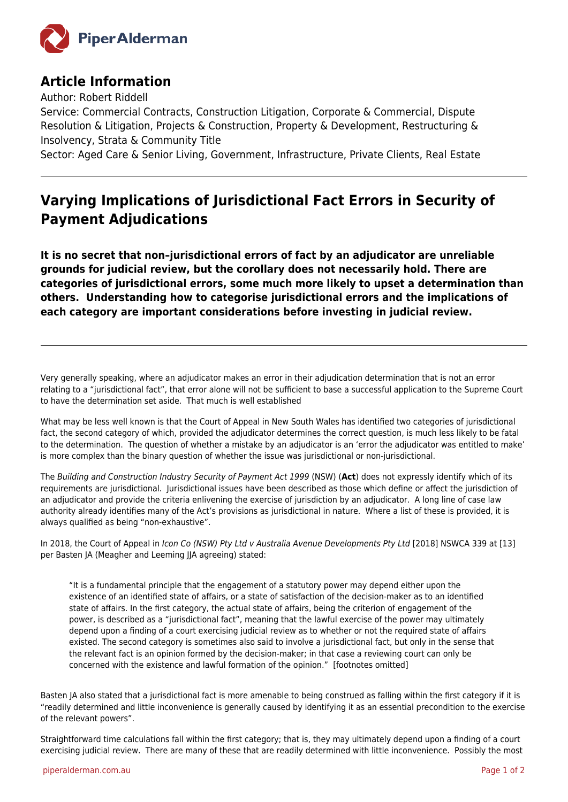

## **Article Information**

Author: Robert Riddell

Service: Commercial Contracts, Construction Litigation, Corporate & Commercial, Dispute Resolution & Litigation, Projects & Construction, Property & Development, Restructuring & Insolvency, Strata & Community Title

Sector: Aged Care & Senior Living, Government, Infrastructure, Private Clients, Real Estate

## **Varying Implications of Jurisdictional Fact Errors in Security of Payment Adjudications**

**It is no secret that non–jurisdictional errors of fact by an adjudicator are unreliable grounds for judicial review, but the corollary does not necessarily hold. There are categories of jurisdictional errors, some much more likely to upset a determination than others. Understanding how to categorise jurisdictional errors and the implications of each category are important considerations before investing in judicial review.**

Very generally speaking, where an adjudicator makes an error in their adjudication determination that is not an error relating to a "jurisdictional fact", that error alone will not be sufficient to base a successful application to the Supreme Court to have the determination set aside. That much is well established

What may be less well known is that the Court of Appeal in New South Wales has identified two categories of jurisdictional fact, the second category of which, provided the adjudicator determines the correct question, is much less likely to be fatal to the determination. The question of whether a mistake by an adjudicator is an 'error the adjudicator was entitled to make' is more complex than the binary question of whether the issue was jurisdictional or non-jurisdictional.

The Building and Construction Industry Security of Payment Act 1999 (NSW) (**Act**) does not expressly identify which of its requirements are jurisdictional. Jurisdictional issues have been described as those which define or affect the jurisdiction of an adjudicator and provide the criteria enlivening the exercise of jurisdiction by an adjudicator. A long line of case law authority already identifies many of the Act's provisions as jurisdictional in nature. Where a list of these is provided, it is always qualified as being "non-exhaustive".

In 2018, the Court of Appeal in Icon Co (NSW) Pty Ltd v Australia Avenue Developments Pty Ltd [2018] NSWCA 339 at [13] per Basten JA (Meagher and Leeming JJA agreeing) stated:

"It is a fundamental principle that the engagement of a statutory power may depend either upon the existence of an identified state of affairs, or a state of satisfaction of the decision-maker as to an identified state of affairs. In the first category, the actual state of affairs, being the criterion of engagement of the power, is described as a "jurisdictional fact", meaning that the lawful exercise of the power may ultimately depend upon a finding of a court exercising judicial review as to whether or not the required state of affairs existed. The second category is sometimes also said to involve a jurisdictional fact, but only in the sense that the relevant fact is an opinion formed by the decision-maker; in that case a reviewing court can only be concerned with the existence and lawful formation of the opinion." [footnotes omitted]

Basten JA also stated that a jurisdictional fact is more amenable to being construed as falling within the first category if it is "readily determined and little inconvenience is generally caused by identifying it as an essential precondition to the exercise of the relevant powers".

Straightforward time calculations fall within the first category; that is, they may ultimately depend upon a finding of a court exercising judicial review. There are many of these that are readily determined with little inconvenience. Possibly the most